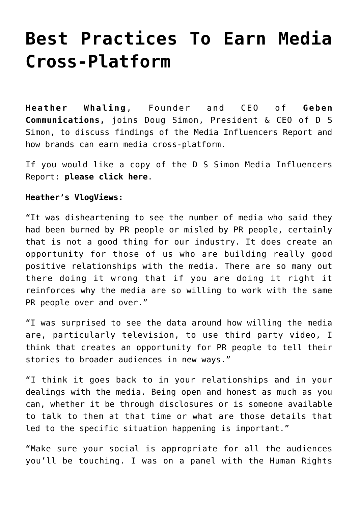## **[Best Practices To Earn Media](https://www.commpro.biz/best-practices-to-earn-media-cross-platform/) [Cross-Platform](https://www.commpro.biz/best-practices-to-earn-media-cross-platform/)**

**[Heather Whaling](https://twitter.com/prtini)**, Founder and CEO of **[Geben](https://gebencommunication.com/team/) [Communications](https://gebencommunication.com/team/),** joins Doug Simon, President & CEO of D S Simon, to discuss findings of the Media Influencers Report and how brands can earn media cross-platform.

If you would like a copy of the D S Simon Media Influencers Report: **[please click here](https://www.dssimon.com/digital/)**[.](https://www.dssimon.com/digital/)

## **Heather's VlogViews:**

"It was disheartening to see the number of media who said they had been burned by PR people or misled by PR people, certainly that is not a good thing for our industry. It does create an opportunity for those of us who are building really good positive relationships with the media. There are so many out there doing it wrong that if you are doing it right it reinforces why the media are so willing to work with the same PR people over and over."

"I was surprised to see the data around how willing the media are, particularly television, to use third party video, I think that creates an opportunity for PR people to tell their stories to broader audiences in new ways."

"I think it goes back to in your relationships and in your dealings with the media. Being open and honest as much as you can, whether it be through disclosures or is someone available to talk to them at that time or what are those details that led to the specific situation happening is important."

"Make sure your social is appropriate for all the audiences you'll be touching. I was on a panel with the Human Rights